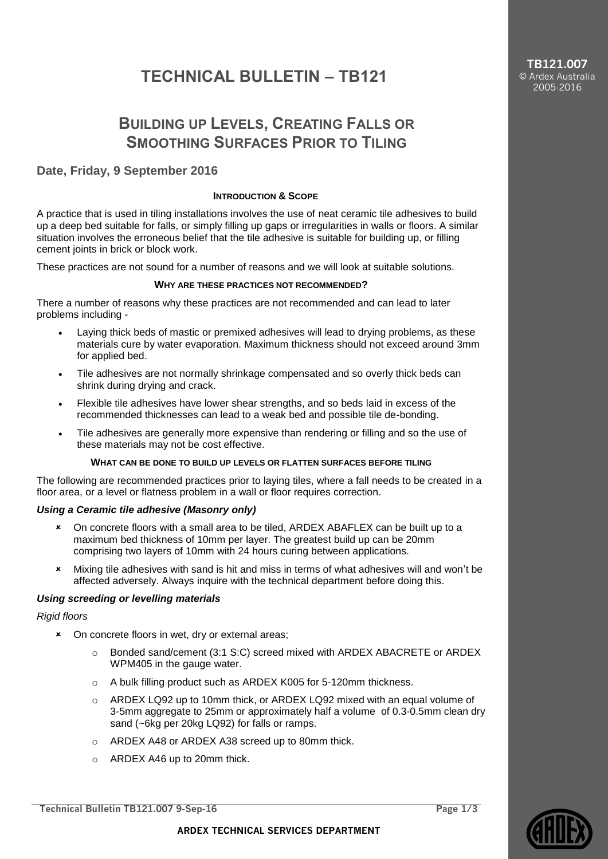# **TECHNICAL BULLETIN – TB121**

## **BUILDING UP LEVELS, CREATING FALLS OR SMOOTHING SURFACES PRIOR TO TILING**

### **Date, Friday, 9 September 2016**

#### **INTRODUCTION & SCOPE**

A practice that is used in tiling installations involves the use of neat ceramic tile adhesives to build up a deep bed suitable for falls, or simply filling up gaps or irregularities in walls or floors. A similar situation involves the erroneous belief that the tile adhesive is suitable for building up, or filling cement joints in brick or block work.

These practices are not sound for a number of reasons and we will look at suitable solutions.

#### **WHY ARE THESE PRACTICES NOT RECOMMENDED?**

There a number of reasons why these practices are not recommended and can lead to later problems including -

- Laying thick beds of mastic or premixed adhesives will lead to drying problems, as these materials cure by water evaporation. Maximum thickness should not exceed around 3mm for applied bed.
- Tile adhesives are not normally shrinkage compensated and so overly thick beds can shrink during drying and crack.
- Flexible tile adhesives have lower shear strengths, and so beds laid in excess of the recommended thicknesses can lead to a weak bed and possible tile de-bonding.
- Tile adhesives are generally more expensive than rendering or filling and so the use of these materials may not be cost effective.

#### **WHAT CAN BE DONE TO BUILD UP LEVELS OR FLATTEN SURFACES BEFORE TILING**

The following are recommended practices prior to laying tiles, where a fall needs to be created in a floor area, or a level or flatness problem in a wall or floor requires correction.

#### *Using a Ceramic tile adhesive (Masonry only)*

- On concrete floors with a small area to be tiled, ARDEX ABAFLEX can be built up to a maximum bed thickness of 10mm per layer. The greatest build up can be 20mm comprising two layers of 10mm with 24 hours curing between applications.
- Mixing tile adhesives with sand is hit and miss in terms of what adhesives will and won't be affected adversely. Always inquire with the technical department before doing this.

#### *Using screeding or levelling materials*

#### *Rigid floors*

- On concrete floors in wet, dry or external areas;
	- Bonded sand/cement (3:1 S:C) screed mixed with ARDEX ABACRETE or ARDEX WPM405 in the gauge water.
	- o A bulk filling product such as ARDEX K005 for 5-120mm thickness.
	- o ARDEX LQ92 up to 10mm thick, or ARDEX LQ92 mixed with an equal volume of 3-5mm aggregate to 25mm or approximately half a volume of 0.3-0.5mm clean dry sand (~6kg per 20kg LQ92) for falls or ramps.
	- o ARDEX A48 or ARDEX A38 screed up to 80mm thick.
	- o ARDEX A46 up to 20mm thick.



**TB121.007** © Ardex Australia 2005-2016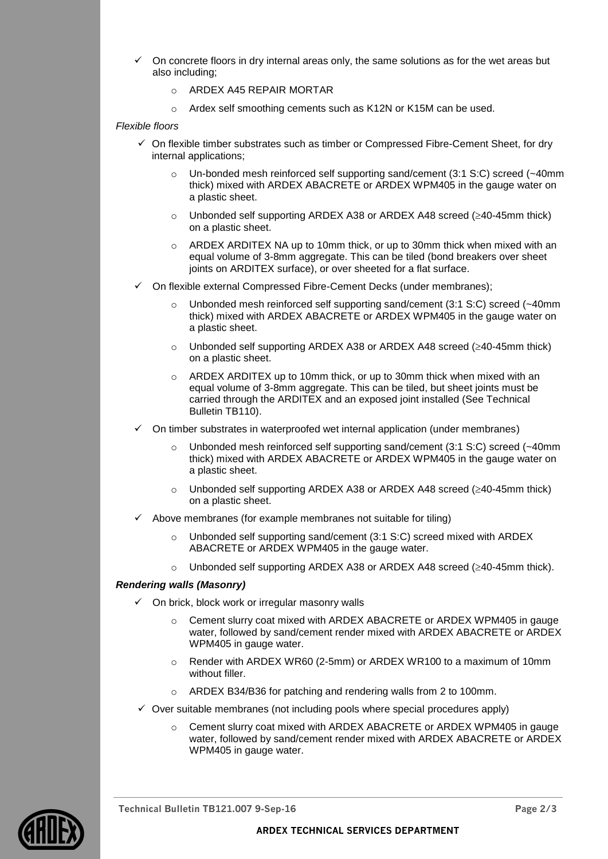- On concrete floors in dry internal areas only, the same solutions as for the wet areas but also including;
	- o ARDEX A45 REPAIR MORTAR
	- o Ardex self smoothing cements such as K12N or K15M can be used.

#### *Flexible floors*

- $\checkmark$  On flexible timber substrates such as timber or Compressed Fibre-Cement Sheet, for dry internal applications;
	- o Un-bonded mesh reinforced self supporting sand/cement (3:1 S:C) screed (~40mm thick) mixed with ARDEX ABACRETE or ARDEX WPM405 in the gauge water on a plastic sheet.
	- o Unbonded self supporting ARDEX A38 or ARDEX A48 screed ( $\geq 40$ -45mm thick) on a plastic sheet.
	- $\circ$  ARDEX ARDITEX NA up to 10mm thick, or up to 30mm thick when mixed with an equal volume of 3-8mm aggregate. This can be tiled (bond breakers over sheet joints on ARDITEX surface), or over sheeted for a flat surface.
- On flexible external Compressed Fibre-Cement Decks (under membranes);
	- o Unbonded mesh reinforced self supporting sand/cement (3:1 S:C) screed (~40mm thick) mixed with ARDEX ABACRETE or ARDEX WPM405 in the gauge water on a plastic sheet.
	- $\circ$  Unbonded self supporting ARDEX A38 or ARDEX A48 screed ( $\geq$ 40-45mm thick) on a plastic sheet.
	- $\circ$  ARDEX ARDITEX up to 10mm thick, or up to 30mm thick when mixed with an equal volume of 3-8mm aggregate. This can be tiled, but sheet joints must be carried through the ARDITEX and an exposed joint installed (See Technical Bulletin TB110).
- On timber substrates in waterproofed wet internal application (under membranes)
	- Unbonded mesh reinforced self supporting sand/cement (3:1 S:C) screed (~40mm thick) mixed with ARDEX ABACRETE or ARDEX WPM405 in the gauge water on a plastic sheet.
	- $\circ$  Unbonded self supporting ARDEX A38 or ARDEX A48 screed ( $\geq 40$ -45mm thick) on a plastic sheet.
- Above membranes (for example membranes not suitable for tiling)
	- o Unbonded self supporting sand/cement (3:1 S:C) screed mixed with ARDEX ABACRETE or ARDEX WPM405 in the gauge water.
	- $\circ$  Unbonded self supporting ARDEX A38 or ARDEX A48 screed ( $\geq$ 40-45mm thick).

#### *Rendering walls (Masonry)*

- $\checkmark$  On brick, block work or irregular masonry walls
	- Cement slurry coat mixed with ARDEX ABACRETE or ARDEX WPM405 in gauge water, followed by sand/cement render mixed with ARDEX ABACRETE or ARDEX WPM405 in gauge water.
	- o Render with ARDEX WR60 (2-5mm) or ARDEX WR100 to a maximum of 10mm without filler.
	- o ARDEX B34/B36 for patching and rendering walls from 2 to 100mm.
- $\checkmark$  Over suitable membranes (not including pools where special procedures apply)
	- Cement slurry coat mixed with ARDEX ABACRETE or ARDEX WPM405 in gauge water, followed by sand/cement render mixed with ARDEX ABACRETE or ARDEX WPM405 in gauge water.